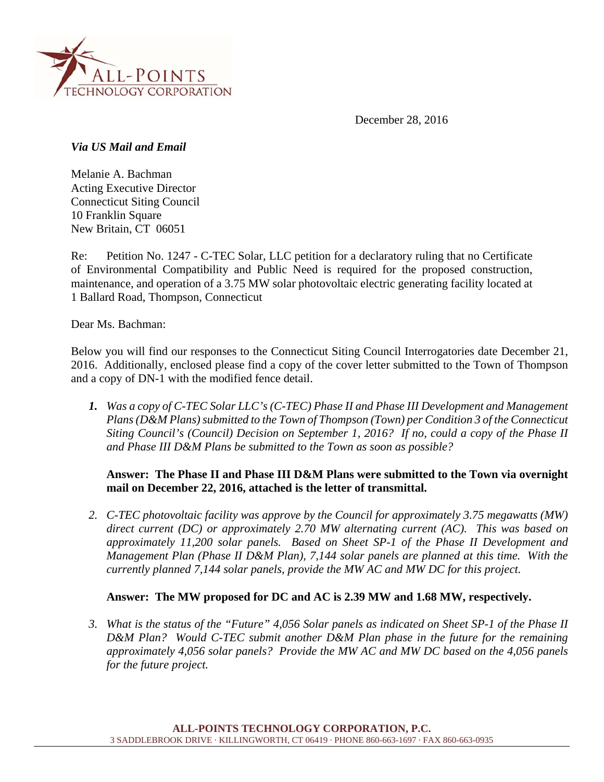

December 28, 2016

*Via US Mail and Email* 

Melanie A. Bachman Acting Executive Director Connecticut Siting Council 10 Franklin Square New Britain, CT 06051

Re: Petition No. 1247 - C-TEC Solar, LLC petition for a declaratory ruling that no Certificate of Environmental Compatibility and Public Need is required for the proposed construction, maintenance, and operation of a 3.75 MW solar photovoltaic electric generating facility located at 1 Ballard Road, Thompson, Connecticut

Dear Ms. Bachman:

Below you will find our responses to the Connecticut Siting Council Interrogatories date December 21, 2016. Additionally, enclosed please find a copy of the cover letter submitted to the Town of Thompson and a copy of DN-1 with the modified fence detail.

*1. Was a copy of C-TEC Solar LLC's (C-TEC) Phase II and Phase III Development and Management Plans (D&M Plans) submitted to the Town of Thompson (Town) per Condition 3 of the Connecticut Siting Council's (Council) Decision on September 1, 2016? If no, could a copy of the Phase II and Phase III D&M Plans be submitted to the Town as soon as possible?* 

## **Answer: The Phase II and Phase III D&M Plans were submitted to the Town via overnight mail on December 22, 2016, attached is the letter of transmittal.**

*2. C-TEC photovoltaic facility was approve by the Council for approximately 3.75 megawatts (MW) direct current (DC) or approximately 2.70 MW alternating current (AC). This was based on approximately 11,200 solar panels. Based on Sheet SP-1 of the Phase II Development and Management Plan (Phase II D&M Plan), 7,144 solar panels are planned at this time. With the currently planned 7,144 solar panels, provide the MW AC and MW DC for this project.* 

## **Answer: The MW proposed for DC and AC is 2.39 MW and 1.68 MW, respectively.**

*3. What is the status of the "Future" 4,056 Solar panels as indicated on Sheet SP-1 of the Phase II D&M Plan? Would C-TEC submit another D&M Plan phase in the future for the remaining approximately 4,056 solar panels? Provide the MW AC and MW DC based on the 4,056 panels for the future project.*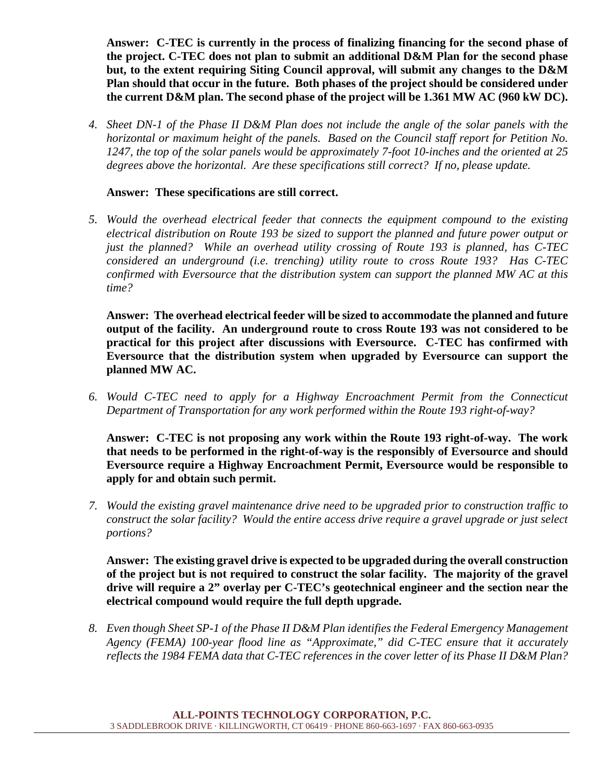**Answer: C-TEC is currently in the process of finalizing financing for the second phase of the project. C-TEC does not plan to submit an additional D&M Plan for the second phase but, to the extent requiring Siting Council approval, will submit any changes to the D&M Plan should that occur in the future. Both phases of the project should be considered under the current D&M plan. The second phase of the project will be 1.361 MW AC (960 kW DC).** 

*4. Sheet DN-1 of the Phase II D&M Plan does not include the angle of the solar panels with the horizontal or maximum height of the panels. Based on the Council staff report for Petition No. 1247, the top of the solar panels would be approximately 7-foot 10-inches and the oriented at 25 degrees above the horizontal. Are these specifications still correct? If no, please update.* 

## **Answer: These specifications are still correct.**

*5. Would the overhead electrical feeder that connects the equipment compound to the existing electrical distribution on Route 193 be sized to support the planned and future power output or just the planned? While an overhead utility crossing of Route 193 is planned, has C-TEC considered an underground (i.e. trenching) utility route to cross Route 193? Has C-TEC confirmed with Eversource that the distribution system can support the planned MW AC at this time?* 

**Answer: The overhead electrical feeder will be sized to accommodate the planned and future output of the facility. An underground route to cross Route 193 was not considered to be practical for this project after discussions with Eversource. C-TEC has confirmed with Eversource that the distribution system when upgraded by Eversource can support the planned MW AC.** 

*6. Would C-TEC need to apply for a Highway Encroachment Permit from the Connecticut Department of Transportation for any work performed within the Route 193 right-of-way?* 

**Answer: C-TEC is not proposing any work within the Route 193 right-of-way. The work that needs to be performed in the right-of-way is the responsibly of Eversource and should Eversource require a Highway Encroachment Permit, Eversource would be responsible to apply for and obtain such permit.** 

*7. Would the existing gravel maintenance drive need to be upgraded prior to construction traffic to construct the solar facility? Would the entire access drive require a gravel upgrade or just select portions?*

**Answer: The existing gravel drive is expected to be upgraded during the overall construction of the project but is not required to construct the solar facility. The majority of the gravel drive will require a 2" overlay per C-TEC's geotechnical engineer and the section near the electrical compound would require the full depth upgrade.** 

*8. Even though Sheet SP-1 of the Phase II D&M Plan identifies the Federal Emergency Management Agency (FEMA) 100-year flood line as "Approximate," did C-TEC ensure that it accurately reflects the 1984 FEMA data that C-TEC references in the cover letter of its Phase II D&M Plan?*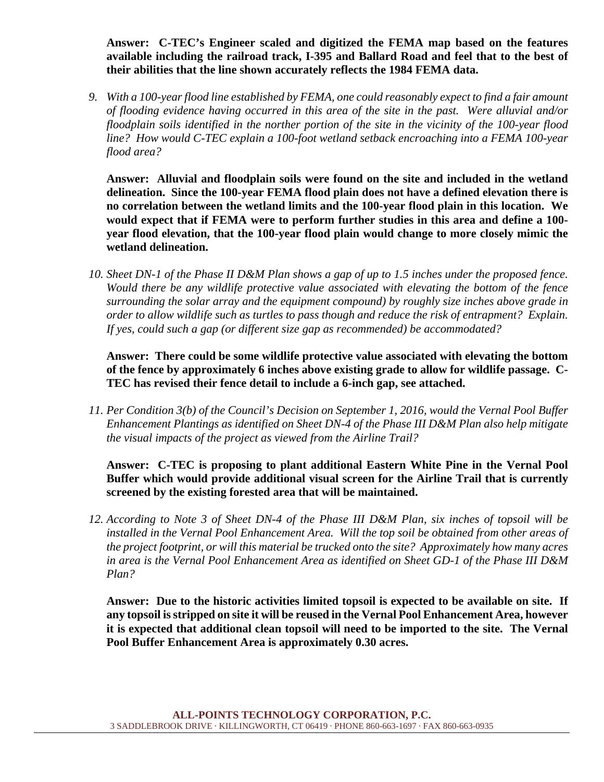**Answer: C-TEC's Engineer scaled and digitized the FEMA map based on the features available including the railroad track, I-395 and Ballard Road and feel that to the best of their abilities that the line shown accurately reflects the 1984 FEMA data.** 

*9. With a 100-year flood line established by FEMA, one could reasonably expect to find a fair amount of flooding evidence having occurred in this area of the site in the past. Were alluvial and/or floodplain soils identified in the norther portion of the site in the vicinity of the 100-year flood line? How would C-TEC explain a 100-foot wetland setback encroaching into a FEMA 100-year flood area?* 

**Answer: Alluvial and floodplain soils were found on the site and included in the wetland delineation. Since the 100-year FEMA flood plain does not have a defined elevation there is no correlation between the wetland limits and the 100-year flood plain in this location. We would expect that if FEMA were to perform further studies in this area and define a 100 year flood elevation, that the 100-year flood plain would change to more closely mimic the wetland delineation.** 

*10. Sheet DN-1 of the Phase II D&M Plan shows a gap of up to 1.5 inches under the proposed fence. Would there be any wildlife protective value associated with elevating the bottom of the fence surrounding the solar array and the equipment compound) by roughly size inches above grade in order to allow wildlife such as turtles to pass though and reduce the risk of entrapment? Explain. If yes, could such a gap (or different size gap as recommended) be accommodated?*

**Answer: There could be some wildlife protective value associated with elevating the bottom of the fence by approximately 6 inches above existing grade to allow for wildlife passage. C-TEC has revised their fence detail to include a 6-inch gap, see attached.** 

*11. Per Condition 3(b) of the Council's Decision on September 1, 2016, would the Vernal Pool Buffer Enhancement Plantings as identified on Sheet DN-4 of the Phase III D&M Plan also help mitigate the visual impacts of the project as viewed from the Airline Trail?* 

**Answer:****C-TEC is proposing to plant additional Eastern White Pine in the Vernal Pool Buffer which would provide additional visual screen for the Airline Trail that is currently screened by the existing forested area that will be maintained.** 

*12. According to Note 3 of Sheet DN-4 of the Phase III D&M Plan, six inches of topsoil will be installed in the Vernal Pool Enhancement Area. Will the top soil be obtained from other areas of the project footprint, or will this material be trucked onto the site? Approximately how many acres in area is the Vernal Pool Enhancement Area as identified on Sheet GD-1 of the Phase III D&M Plan?*

**Answer: Due to the historic activities limited topsoil is expected to be available on site. If any topsoil is stripped on site it will be reused in the Vernal Pool Enhancement Area, however it is expected that additional clean topsoil will need to be imported to the site. The Vernal Pool Buffer Enhancement Area is approximately 0.30 acres.**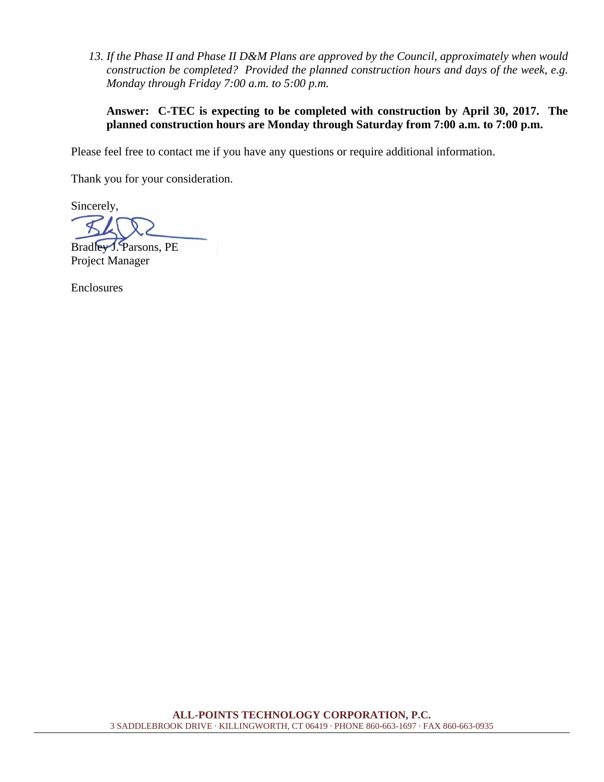*13. If the Phase II and Phase II D&M Plans are approved by the Council, approximately when would construction be completed? Provided the planned construction hours and days of the week, e.g. Monday through Friday 7:00 a.m. to 5:00 p.m.* 

## **Answer:****C-TEC is expecting to be completed with construction by April 30, 2017. The planned construction hours are Monday through Saturday from 7:00 a.m. to 7:00 p.m.**

Please feel free to contact me if you have any questions or require additional information.

Thank you for your consideration.

Sincerely,

Bradley J. Parsons, PE Project Manager

Enclosures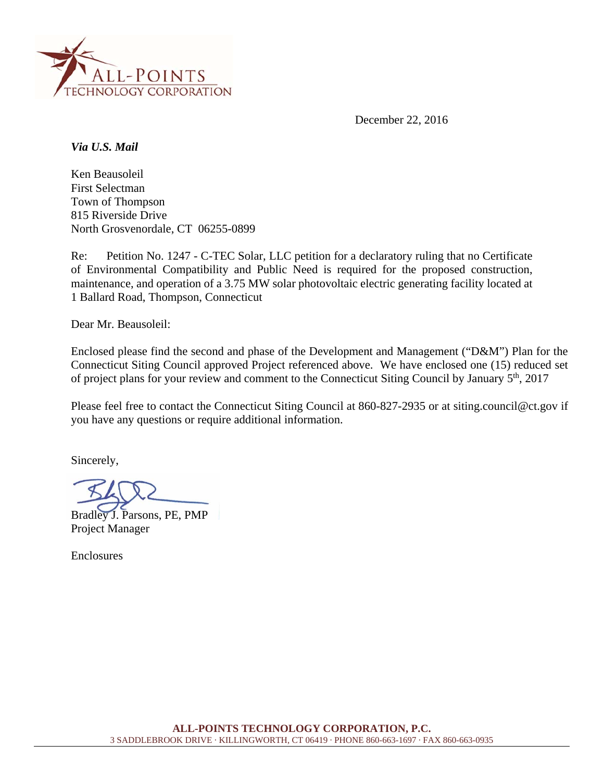

December 22, 2016

*Via U.S. Mail* 

Ken Beausoleil First Selectman Town of Thompson 815 Riverside Drive North Grosvenordale, CT 06255-0899

Re: Petition No. 1247 - C-TEC Solar, LLC petition for a declaratory ruling that no Certificate of Environmental Compatibility and Public Need is required for the proposed construction, maintenance, and operation of a 3.75 MW solar photovoltaic electric generating facility located at 1 Ballard Road, Thompson, Connecticut

Dear Mr. Beausoleil:

Enclosed please find the second and phase of the Development and Management ("D&M") Plan for the Connecticut Siting Council approved Project referenced above. We have enclosed one (15) reduced set of project plans for your review and comment to the Connecticut Siting Council by January 5<sup>th</sup>, 2017

Please feel free to contact the Connecticut Siting Council at 860-827-2935 or at siting.council@ct.gov if you have any questions or require additional information.

Sincerely,

Bradley J. Parsons, PE, PMP Project Manager

**Enclosures**